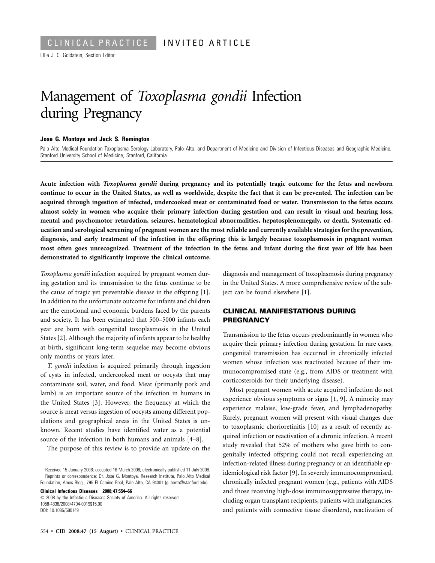Ellie J. C. Goldstein, Section Editor

# Management of *Toxoplasma gondii* Infection during Pregnancy

#### **Jose G. Montoya and Jack S. Remington**

Palo Alto Medical Foundation Toxoplasma Serology Laboratory, Palo Alto, and Department of Medicine and Division of Infectious Diseases and Geographic Medicine, Stanford University School of Medicine, Stanford, California

**Acute infection with** *Toxoplasma gondii* **during pregnancy and its potentially tragic outcome for the fetus and newborn continue to occur in the United States, as well as worldwide, despite the fact that it can be prevented. The infection can be acquired through ingestion of infected, undercooked meat or contaminated food or water. Transmission to the fetus occurs almost solely in women who acquire their primary infection during gestation and can result in visual and hearing loss, mental and psychomotor retardation, seizures, hematological abnormalities, hepatosplenomegaly, or death. Systematic education and serological screening of pregnant women are the most reliable and currently available strategies for the prevention, diagnosis, and early treatment of the infection in the offspring; this is largely because toxoplasmosis in pregnant women most often goes unrecognized. Treatment of the infection in the fetus and infant during the first year of life has been demonstrated to significantly improve the clinical outcome.** 

*Toxoplasma gondii* infection acquired by pregnant women during gestation and its transmission to the fetus continue to be the cause of tragic yet preventable disease in the offspring [1]. In addition to the unfortunate outcome for infants and children are the emotional and economic burdens faced by the parents and society. It has been estimated that 500–5000 infants each year are born with congenital toxoplasmosis in the United States [2]. Although the majority of infants appear to be healthy at birth, significant long-term sequelae may become obvious only months or years later.

*T. gondii* infection is acquired primarily through ingestion of cysts in infected, undercooked meat or oocysts that may contaminate soil, water, and food. Meat (primarily pork and lamb) is an important source of the infection in humans in the United States [3]. However, the frequency at which the source is meat versus ingestion of oocysts among different populations and geographical areas in the United States is unknown. Recent studies have identified water as a potential source of the infection in both humans and animals [4–8].

The purpose of this review is to provide an update on the

**Clinical Infectious Diseases 2008; 47:554–66**  � 2008 by the Infectious Diseases Society of America. All rights reserved. 1058-4838/2008/4704-0019\$15.00 DOI: 10.1086/590149

diagnosis and management of toxoplasmosis during pregnancy in the United States. A more comprehensive review of the subject can be found elsewhere [1].

### **CLINICAL MANIFESTATIONS DURING PREGNANCY**

Transmission to the fetus occurs predominantly in women who acquire their primary infection during gestation. In rare cases, congenital transmission has occurred in chronically infected women whose infection was reactivated because of their immunocompromised state (e.g., from AIDS or treatment with corticosteroids for their underlying disease).

Most pregnant women with acute acquired infection do not experience obvious symptoms or signs [1, 9]. A minority may experience malaise, low-grade fever, and lymphadenopathy. Rarely, pregnant women will present with visual changes due to toxoplasmic chorioretinitis [[10\]](#page-11-0) as a result of recently acquired infection or reactivation of a chronic infection. A recent study revealed that 52% of mothers who gave birth to congenitally infected offspring could not recall experiencing an infection-related illness during pregnancy or an identifiable epidemiological risk factor [9]. In severely immunocompromised, chronically infected pregnant women (e.g., patients with AIDS and those receiving high-dose immunosuppressive therapy, including organ transplant recipients, patients with malignancies, and patients with connective tissue disorders), reactivation of

Received 15 January 2008; accepted 16 March 2008; electronically published 11 July 2008. Reprints or correspondence: Dr. Jose G. Montoya, Research Institute, Palo Alto Medical Foundation, Ames Bldg., 795 El Camino Real, Palo Alto, CA 94301 (gilberto@stanford.edu).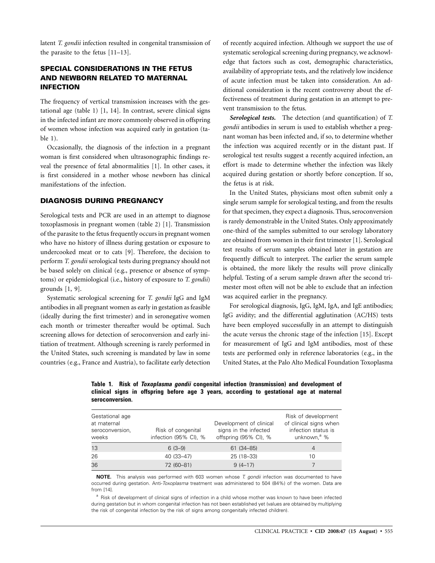latent *T. gondii* infection resulted in congenital transmission of the parasite to the fetus [11–13].

# **SPECIAL CONSIDERATIONS IN THE FETUS AND NEWBORN RELATED TO MATERNAL INFECTION**

The frequency of vertical transmission increases with the gestational age (table 1) [1, 14]. In contrast, severe clinical signs in the infected infant are more commonly observed in offspring of women whose infection was acquired early in gestation (table 1).

Occasionally, the diagnosis of the infection in a pregnant woman is first considered when ultrasonographic findings reveal the presence of fetal abnormalities [1]. In other cases, it is first considered in a mother whose newborn has clinical manifestations of the infection.

#### **DIAGNOSIS DURING PREGNANCY**

Serological tests and PCR are used in an attempt to diagnose toxoplasmosis in pregnant women (table 2) [1]. Transmission of the parasite to the fetus frequently occurs in pregnant women who have no history of illness during gestation or exposure to undercooked meat or to cats [9]. Therefore, the decision to perform *T. gondii* serological tests during pregnancy should not be based solely on clinical (e.g., presence or absence of symptoms) or epidemiological (i.e., history of exposure to *T. gondii*) grounds [1, 9].

Systematic serological screening for *T. gondii* IgG and IgM antibodies in all pregnant women as early in gestation as feasible (ideally during the first trimester) and in seronegative women each month or trimester thereafter would be optimal. Such screening allows for detection of seroconversion and early initiation of treatment. Although screening is rarely performed in the United States, such screening is mandated by law in some countries (e.g., France and Austria), to facilitate early detection of recently acquired infection. Although we support the use of systematic serological screening during pregnancy, we acknowledge that factors such as cost, demographic characteristics, availability of appropriate tests, and the relatively low incidence of acute infection must be taken into consideration. An additional consideration is the recent controversy about the effectiveness of treatment during gestation in an attempt to prevent transmission to the fetus.

*Serological tests.* The detection (and quantification) of *T. gondii* antibodies in serum is used to establish whether a pregnant woman has been infected and, if so, to determine whether the infection was acquired recently or in the distant past. If serological test results suggest a recently acquired infection, an effort is made to determine whether the infection was likely acquired during gestation or shortly before conception. If so, the fetus is at risk.

In the United States, physicians most often submit only a single serum sample for serological testing, and from the results for that specimen, they expect a diagnosis. Thus, seroconversion is rarely demonstrable in the United States. Only approximately one-third of the samples submitted to our serology laboratory are obtained from women in their first trimester [1]. Serological test results of serum samples obtained later in gestation are frequently difficult to interpret. The earlier the serum sample is obtained, the more likely the results will prove clinically helpful. Testing of a serum sample drawn after the second trimester most often will not be able to exclude that an infection was acquired earlier in the pregnancy.

For serological diagnosis, IgG, IgM, IgA, and IgE antibodies; IgG avidity; and the differential agglutination (AC/HS) tests have been employed successfully in an attempt to distinguish the acute versus the chronic stage of the infection [\[15](#page-11-0)]. Except for measurement of IgG and IgM antibodies, most of these tests are performed only in reference laboratories (e.g., in the United States, at the Palo Alto Medical Foundation Toxoplasma

**Table 1. Risk of** *Toxoplasma gondii* **congenital infection (transmission) and development of clinical signs in offspring before age 3 years, according to gestational age at maternal seroconversion.** 

| Gestational age<br>at maternal<br>seroconversion,<br>weeks | Risk of congenital<br>infection (95% CI), % | Development of clinical<br>signs in the infected<br>offspring (95% CI), % | Risk of development<br>of clinical signs when<br>infection status is<br>unknown, <sup>a</sup> % |
|------------------------------------------------------------|---------------------------------------------|---------------------------------------------------------------------------|-------------------------------------------------------------------------------------------------|
| 13                                                         | $6(3-9)$                                    | 61 (34 - 85)                                                              | 4                                                                                               |
| 26                                                         | 40 (33-47)                                  | 25 (18-33)                                                                | 10                                                                                              |
| 36                                                         | 72 (60-81)                                  | $9(4-17)$                                                                 |                                                                                                 |

**NOTE.** This analysis was performed with 603 women whose *T. gondii* infection was documented to have occurred during gestation. Anti-*Toxoplasma* treatment was administered to 504 (84%) of the women. Data are from [[14](#page-11-0)].

<sup>a</sup> Risk of development of clinical signs of infection in a child whose mother was known to have been infected during gestation but in whom congenital infection has not been established yet (values are obtained by multiplying the risk of congenital infection by the risk of signs among congenitally infected children).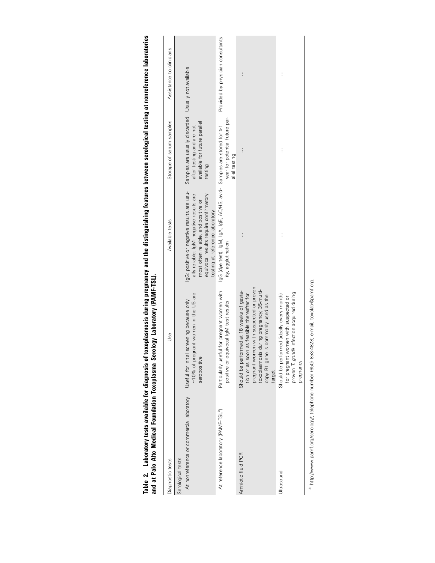| Diagnostic tests                                              | Use                                                                                                                                                                                                                               | Available tests                                                                                                                                                                                             | Storage of serum samples                                                                                                     | Assistance to clinicians          |
|---------------------------------------------------------------|-----------------------------------------------------------------------------------------------------------------------------------------------------------------------------------------------------------------------------------|-------------------------------------------------------------------------------------------------------------------------------------------------------------------------------------------------------------|------------------------------------------------------------------------------------------------------------------------------|-----------------------------------|
| At nonreference or commercial laboratory<br>Serological tests | ~10% of pregnant women in the US are<br>screening because only<br>Useful for initial<br>seropositive                                                                                                                              | IgG: positive or negative results are usu-<br>ally reliable; IgM: negative results are<br>equivocal results require confirmatory<br>most often reliable, and positive or<br>testing at reference laboratory | Samples are usually discarded Usually not available<br>available for future parallel<br>after testing and are not<br>testing |                                   |
| At reference laboratory (PAMF-TSL <sup>a</sup> )              | Particularly useful for pregnant women with<br>positive or equivocal IgM test results                                                                                                                                             | lgG (dye test), lgA, lgA, lgE, AC/HS, avid- Samples are stored for ≥1<br>ity, agglutination                                                                                                                 | year for potential future par-<br>allel testing                                                                              | Provided by physician consultants |
| Amniotic fluid PCR                                            | pregnant women with suspected or proven<br>toxoplasmosis during pregnancy; 35-multi-<br>Should be performed at 18 weeks of gesta-<br>tion or as soon as feasible thereafter for<br>copy B1 gene is commonly used as the<br>target | j                                                                                                                                                                                                           | i.                                                                                                                           | $\vdots$                          |
| <b>Jitrasound</b>                                             | proven T. gondii infection acquired during<br>Should be performed (ideally every month)<br>for pregnant women with suspected or<br>pregnancy                                                                                      | j                                                                                                                                                                                                           | j                                                                                                                            | $\vdots$                          |
|                                                               |                                                                                                                                                                                                                                   |                                                                                                                                                                                                             |                                                                                                                              |                                   |

Table 2. Laboratory tests available for diagnosis of toxoplasmosis during pregnancy and the distinguishing features between serological testing at nonreference laboratories<br>and at Palo Alto Medical Foundation Toxoplasma **Table 2. Laboratory tests available for diagnosis of toxoplasmosis during pregnancy and the distinguishing features between serological testing at nonreference laboratories and at Palo Alto Medical Foundation Toxoplasma Serology Laboratory (PAMF-TSL).** 

a http://www.pamf.org/serology/; telephone number (650) 853-4828; e-mail, toxolab@pamf.org. a http://www.pamf.org/serology/; telephone number (650) 853-4828; e-mail, toxolab@pamf.org.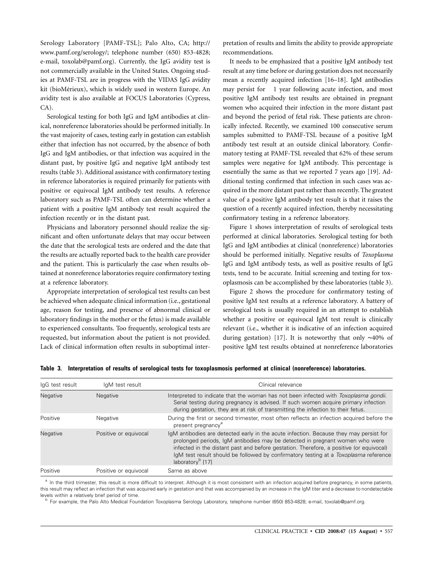Serology Laboratory [PAMF-TSL]; Palo Alto, CA; http:// www.pamf.org/serology/; telephone number (650) 853-4828; e-mail, toxolab@pamf.org). Currently, the IgG avidity test is not commercially available in the United States. Ongoing studies at PAMF-TSL are in progress with the VIDAS IgG avidity kit (bioMérieux), which is widely used in western Europe. An avidity test is also available at FOCUS Laboratories (Cypress, CA).

Serological testing for both IgG and IgM antibodies at clinical, nonreference laboratories should be performed initially. In the vast majority of cases, testing early in gestation can establish either that infection has not occurred, by the absence of both IgG and IgM antibodies, or that infection was acquired in the distant past, by positive IgG and negative IgM antibody test results (table 3). Additional assistance with confirmatory testing in reference laboratories is required primarily for patients with positive or equivocal IgM antibody test results. A reference laboratory such as PAMF-TSL often can determine whether a patient with a positive IgM antibody test result acquired the infection recently or in the distant past.

Physicians and laboratory personnel should realize the significant and often unfortunate delays that may occur between the date that the serological tests are ordered and the date that the results are actually reported back to the health care provider and the patient. This is particularly the case when results obtained at nonreference laboratories require confirmatory testing at a reference laboratory.

Appropriate interpretation of serological test results can best be achieved when adequate clinical information (i.e., gestational age, reason for testing, and presence of abnormal clinical or laboratory findings in the mother or the fetus) is made available to experienced consultants. Too frequently, serological tests are requested, but information about the patient is not provided. Lack of clinical information often results in suboptimal inter-

pretation of results and limits the ability to provide appropriate recommendations.

� may persist for 1 year following acute infection, and most It needs to be emphasized that a positive IgM antibody test result at any time before or during gestation does not necessarily mean a recently acquired infection [16–18]. IgM antibodies positive IgM antibody test results are obtained in pregnant women who acquired their infection in the more distant past and beyond the period of fetal risk. These patients are chronically infected. Recently, we examined 100 consecutive serum samples submitted to PAMF-TSL because of a positive IgM antibody test result at an outside clinical laboratory. Confirmatory testing at PAMF-TSL revealed that 62% of these serum samples were negative for IgM antibody. This percentage is essentially the same as that we reported 7 years ago [[19\]](#page-11-0). Additional testing confirmed that infection in such cases was acquired in the more distant past rather than recently. The greatest value of a positive IgM antibody test result is that it raises the question of a recently acquired infection, thereby necessitating confirmatory testing in a reference laboratory.

Figure 1 shows interpretation of results of serological tests performed at clinical laboratories. Serological testing for both IgG and IgM antibodies at clinical (nonreference) laboratories should be performed initially. Negative results of *Toxoplasma*  IgG and IgM antibody tests, as well as positive results of IgG tests, tend to be accurate. Initial screening and testing for toxoplasmosis can be accomplished by these laboratories (table 3).

Figure 2 shows the procedure for confirmatory testing of positive IgM test results at a reference laboratory. A battery of serological tests is usually required in an attempt to establish whether a positive or equivocal IgM test result is clinically relevant (i.e., whether it is indicative of an infection acquired during gestation) [\[17](#page-11-0)]. It is noteworthy that only ∼40% of positive IgM test results obtained at nonreference laboratories

|  |  |  |  |  | Table 3. Interpretation of results of serological tests for toxoplasmosis performed at clinical (nonreference) laboratories. |
|--|--|--|--|--|------------------------------------------------------------------------------------------------------------------------------|
|--|--|--|--|--|------------------------------------------------------------------------------------------------------------------------------|

| IqG test result | IgM test result       | Clinical relevance                                                                                                                                                                                                                                                                                                                                                                               |
|-----------------|-----------------------|--------------------------------------------------------------------------------------------------------------------------------------------------------------------------------------------------------------------------------------------------------------------------------------------------------------------------------------------------------------------------------------------------|
| Negative        | <b>Negative</b>       | Interpreted to indicate that the woman has not been infected with Toxoplasma gondii.<br>Serial testing during pregnancy is advised. If such women acquire primary infection<br>during gestation, they are at risk of transmitting the infection to their fetus.                                                                                                                                  |
| Positive        | Negative              | During the first or second trimester, most often reflects an infection acquired before the<br>present pregnancy <sup>a</sup>                                                                                                                                                                                                                                                                     |
| Negative        | Positive or equivocal | IgM antibodies are detected early in the acute infection. Because they may persist for<br>prolonged periods, IgM antibodies may be detected in pregnant women who were<br>infected in the distant past and before gestation. Therefore, a positive (or equivocal)<br>lqM test result should be followed by confirmatory testing at a <i>Toxoplasma</i> reference<br>laboratory <sup>b</sup> [17] |
| Positive        | Positive or equivocal | Same as above                                                                                                                                                                                                                                                                                                                                                                                    |

<sup>a</sup> In the third trimester, this result is more difficult to interpret. Although it is most consistent with an infection acquired before pregnancy, in some patients, this result may reflect an infection that was acquired early in gestation and that was accompanied by an increase in the IgM titer and a decrease to nondetectable levels within a relatively brief period of time.<br><sup>b</sup> For example, the Palo Alto Medical Foundation Toxoplasma Serology Laboratory, telephone number (650) 853-4828; e-mail, toxolab@pamf.org.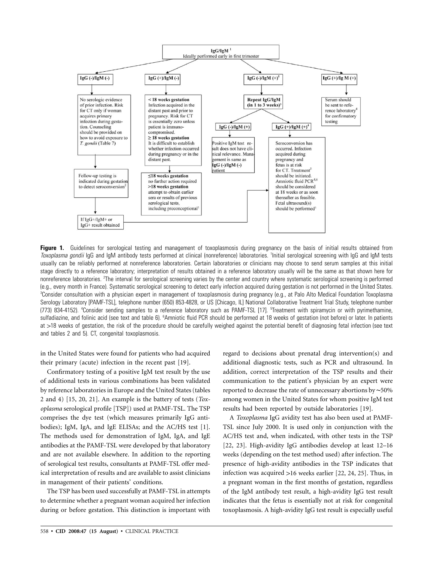

**Figure 1.** Guidelines for serological testing and management of toxoplasmosis during pregnancy on the basis of initial results obtained from Toxoplasma gondii IgG and IgM antibody tests performed at clinical (nonreference) laboratories. <sup>1</sup>Initial serological screening with IgG and IgM tests usually can be reliably performed at nonreference laboratories. Certain laboratories or clinicians may choose to send serum samples at this initial stage directly to a reference laboratory; interpretation of results obtained in a reference laboratory usually will be the same as that shown here for nonreference laboratories. <sup>2</sup>The interval for serological screening varies by the center and country where systematic serological screening is performed (e.g., every month in France). Systematic serological screening to detect early infection acquired during gestation is not performed in the United States. 3 Consider consultation with a physician expert in management of toxoplasmosis during pregnancy (e.g., at Palo Alto Medical Foundation Toxoplasma Serology Laboratory [PAMF-TSL], telephone number (650) 853-4828, or US [Chicago, IL] National Collaborative Treatment Trial Study, telephone number (773) 834-4152). <sup>4</sup>Consider sending samples to a reference laboratory such as PAMF-TSL [\[17](#page-11-0)]. <sup>5</sup>Treatment with spiramycin or with pyrimethamine, sulfadiazine, and folinic acid (see text and table 6). <sup>6</sup>Amniotic fluid PCR should be performed at 18 weeks of gestation (not before) or later. In patients at 118 weeks of gestation, the risk of the procedure should be carefully weighed against the potential benefit of diagnosing fetal infection (see text and tables 2 and 5). CT, congenital toxoplasmosis.

in the United States were found for patients who had acquired their primary (acute) infection in the recent past [\[19\]](#page-11-0).

Confirmatory testing of a positive IgM test result by the use of additional tests in various combinations has been validated by reference laboratories in Europe and the United States (tables 2 and 4) [15, 20, 21]. An example is the battery of tests (*Toxoplasma* serological profile [TSP]) used at PAMF-TSL. The TSP comprises the dye test (which measures primarily IgG antibodies); IgM, IgA, and IgE ELISAs; and the AC/HS test [1]. The methods used for demonstration of IgM, IgA, and IgE antibodies at the PAMF-TSL were developed by that laboratory and are not available elsewhere. In addition to the reporting of serological test results, consultants at PAMF-TSL offer medical interpretation of results and are available to assist clinicians in management of their patients' conditions.

The TSP has been used successfully at PAMF-TSL in attempts to determine whether a pregnant woman acquired her infection during or before gestation. This distinction is important with regard to decisions about prenatal drug intervention(s) and additional diagnostic tests, such as PCR and ultrasound. In addition, correct interpretation of the TSP results and their communication to the patient's physician by an expert were reported to decrease the rate of unnecessary abortions by ∼50% among women in the United States for whom positive IgM test results had been reported by outside laboratories [\[19](#page-11-0)].

A *Toxoplasma* IgG avidity test has also been used at PAMF-TSL since July 2000. It is used only in conjunction with the AC/HS test and, when indicated, with other tests in the TSP [22, 23]. High-avidity IgG antibodies develop at least 12–16 weeks (depending on the test method used) after infection. The presence of high-avidity antibodies in the TSP indicates that infection was acquired  $>16$  weeks earlier [22, 24, 25]. Thus, in a pregnant woman in the first months of gestation, regardless of the IgM antibody test result, a high-avidity IgG test result indicates that the fetus is essentially not at risk for congenital toxoplasmosis. A high-avidity IgG test result is especially useful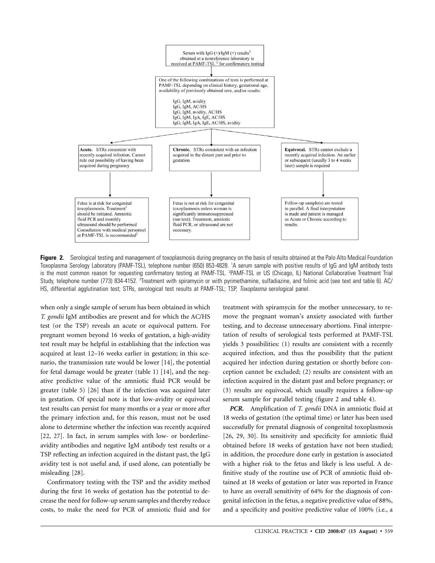

Figure 2. Serological testing and management of toxoplasmosis during pregnancy on the basis of results obtained at the Palo Alto Medical Foundation Toxoplasma Serology Laboratory (PAMF-TSL), telephone number (650) 853-4828. 1 A serum sample with positive results of IgG and IgM antibody tests is the most common reason for requesting confirmatory testing at PAMF-TSL. <sup>2</sup>PAMF-TSL or US (Chicago, IL) National Collaborative Treatment Trial Study, telephone number (773) 834-4152. <sup>3</sup>Treatment with spiramycin or with pyrimethamine, sulfadiazine, and folinic acid (see text and table 6). AC/ HS, differential agglutination test; STRs, serological test results at PAMF-TSL; TSP, *Toxoplasma* serological panel.

when only a single sample of serum has been obtained in which *T. gondii* IgM antibodies are present and for which the AC/HS test (or the TSP) reveals an acute or equivocal pattern. For pregnant women beyond 16 weeks of gestation, a high-avidity test result may be helpful in establishing that the infection was acquired at least 12–16 weeks earlier in gestation; in this scenario, the transmission rate would be lower [[14\]](#page-11-0), the potential for fetal damage would be greater (table 1) [\[14\]](#page-11-0), and the negative predictive value of the amniotic fluid PCR would be greater (table 5) [[26\]](#page-11-0) than if the infection was acquired later in gestation. Of special note is that low-avidity or equivocal test results can persist for many months or a year or more after the primary infection and, for this reason, must not be used alone to determine whether the infection was recently acquired [22, 27]. In fact, in serum samples with low- or borderlineavidity antibodies and negative IgM antibody test results or a TSP reflecting an infection acquired in the distant past, the IgG avidity test is not useful and, if used alone, can potentially be misleading [\[28\]](#page-11-0).

Confirmatory testing with the TSP and the avidity method during the first 16 weeks of gestation has the potential to decrease the need for follow-up serum samples and thereby reduce costs, to make the need for PCR of amniotic fluid and for

treatment with spiramycin for the mother unnecessary, to remove the pregnant woman's anxiety associated with further testing, and to decrease unnecessary abortions. Final interpretation of results of serological tests performed at PAMF-TSL yields 3 possibilities: (1) results are consistent with a recently acquired infection, and thus the possibility that the patient acquired her infection during gestation or shortly before conception cannot be excluded; (2) results are consistent with an infection acquired in the distant past and before pregnancy; or (3) results are equivocal, which usually requires a follow-up serum sample for parallel testing (figure 2 and table 4).

*PCR.* Amplification of *T. gondii* DNA in amniotic fluid at 18 weeks of gestation (the optimal time) or later has been used successfully for prenatal diagnosis of congenital toxoplasmosis [26, 29, 30]. Its sensitivity and specificity for amniotic fluid obtained before 18 weeks of gestation have not been studied; in addition, the procedure done early in gestation is associated with a higher risk to the fetus and likely is less useful. A definitive study of the routine use of PCR of amniotic fluid obtained at 18 weeks of gestation or later was reported in France to have an overall sensitivity of 64% for the diagnosis of congenital infection in the fetus, a negative predictive value of 88%, and a specificity and positive predictive value of 100% (i.e., a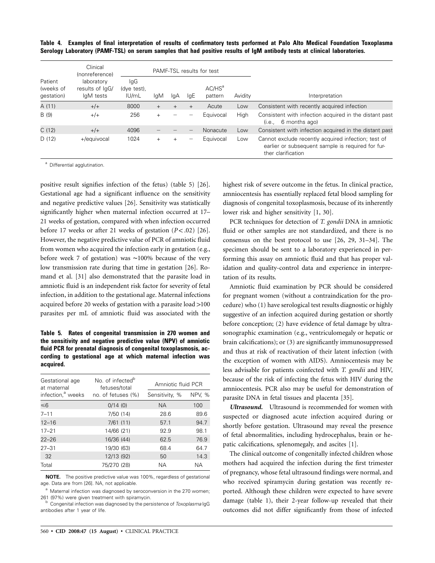**Table 4. Examples of final interpretation of results of confirmatory tests performed at Palo Alto Medical Foundation Toxoplasma Serology Laboratory (PAMF-TSL) on serum samples that had positive results of IgM antibody tests at clinical laboratories.** 

|                                    | Clinical<br>PAMF-TSL results for test<br>(nonreference) |                             |        |                |     |                      |         |                                                                                                                                |
|------------------------------------|---------------------------------------------------------|-----------------------------|--------|----------------|-----|----------------------|---------|--------------------------------------------------------------------------------------------------------------------------------|
| Patient<br>(weeks of<br>gestation) | laboratory<br>results of lgG/<br>IgM tests              | IgG<br>(dye test),<br>IU/mL | lgM    | lgA            | lgE | $AC/HS^a$<br>pattern | Avidity | Interpretation                                                                                                                 |
| A (11)                             | $+/+$                                                   | 8000                        | $+$    | $+$            | $+$ | Acute                | Low     | Consistent with recently acquired infection                                                                                    |
| B (9)                              | $+/+$                                                   | 256                         |        |                |     | Equivocal            | High    | Consistent with infection acquired in the distant past<br>6 months ago)<br>(i.e.,                                              |
| C(12)                              | $+/+$                                                   | 4096                        |        |                |     | Nonacute             | Low     | Consistent with infection acquired in the distant past                                                                         |
| D(12)                              | +/equivocal                                             | 1024                        | $^{+}$ | $\overline{+}$ |     | Equivocal            | Low     | Cannot exclude recently acquired infection; test of<br>earlier or subsequent sample is required for fur-<br>ther clarification |

a Differential agglutination.

positive result signifies infection of the fetus) (table 5) [\[26](#page-11-0)]. Gestational age had a significant influence on the sensitivity and negative predictive values [[26\]](#page-11-0). Sensitivity was statistically significantly higher when maternal infection occurred at 17– 21 weeks of gestation, compared with when infection occurred before 17 weeks or after 21 weeks of gestation  $(P < .02)$  [\[26](#page-11-0)]. However, the negative predictive value of PCR of amniotic fluid from women who acquired the infection early in gestation (e.g., before week 7 of gestation) was ∼100% because of the very low transmission rate during that time in gestation [[26\]](#page-11-0). Romand et al. [[31\]](#page-11-0) also demonstrated that the parasite load in amniotic fluid is an independent risk factor for severity of fetal infection, in addition to the gestational age. Maternal infections acquired before 20 weeks of gestation with a parasite load >100 parasites per mL of amniotic fluid was associated with the

**Table 5. Rates of congenital transmission in 270 women and the sensitivity and negative predictive value (NPV) of amniotic fluid PCR for prenatal diagnosis of congenital toxoplasmosis, according to gestational age at which maternal infection was acquired.** 

| Gestational age<br>at maternal | No. of infected <sup>b</sup><br>fetuses/total | Amniotic fluid PCR |               |  |
|--------------------------------|-----------------------------------------------|--------------------|---------------|--|
| infection, <sup>a</sup> weeks  | no. of fetuses (%)                            | Sensitivity, %     | <b>NPV, %</b> |  |
| ≤6                             | 0/14(0)                                       | NA.                | 100           |  |
| $7 - 11$                       | 7/50(14)                                      | 28.6               | 89.6          |  |
| $12 - 16$                      | 7/61(11)                                      | 57.1               | 94.7          |  |
| $17 - 21$                      | 14/66 (21)                                    | 92.9               | 98.1          |  |
| $22 - 26$                      | 16/36 (44)                                    | 62.5               | 76.9          |  |
| $27 - 31$                      | 19/30 (63)                                    | 68.4               | 64.7          |  |
| 32                             | 12/13 (92)                                    | 50                 | 14.3          |  |
| Total                          | 75/270 (28)                                   | NА                 | <b>NA</b>     |  |

**NOTE.** The positive predictive value was 100%, regardless of gestational age. Data are from [\[26](#page-11-0)]. NA, not applicable.

<sup>a</sup> Maternal infection was diagnosed by seroconversion in the 270 women; 261 (97%) were given treatment with spiramycin. b Congenital infection was diagnosed by the persistence of *Toxoplasma* IgG

antibodies after 1 year of life.

highest risk of severe outcome in the fetus. In clinical practice, amniocentesis has essentially replaced fetal blood sampling for diagnosis of congenital toxoplasmosis, because of its inherently lower risk and higher sensitivity [1, 30].

PCR techniques for detection of *T. gondii* DNA in amniotic fluid or other samples are not standardized, and there is no consensus on the best protocol to use [26, 29, 31–34]. The specimen should be sent to a laboratory experienced in performing this assay on amniotic fluid and that has proper validation and quality-control data and experience in interpretation of its results.

Amniotic fluid examination by PCR should be considered for pregnant women (without a contraindication for the procedure) who (1) have serological test results diagnostic or highly suggestive of an infection acquired during gestation or shortly before conception; (2) have evidence of fetal damage by ultrasonographic examination (e.g., ventriculomegaly or hepatic or brain calcifications); or (3) are significantly immunosuppressed and thus at risk of reactivation of their latent infection (with the exception of women with AIDS). Amniocentesis may be less advisable for patients coinfected with *T. gondii* and HIV, because of the risk of infecting the fetus with HIV during the amniocentesis. PCR also may be useful for demonstration of parasite DNA in fetal tissues and placenta [\[35](#page-11-0)].

*Ultrasound.* Ultrasound is recommended for women with suspected or diagnosed acute infection acquired during or shortly before gestation. Ultrasound may reveal the presence of fetal abnormalities, including hydrocephalus, brain or hepatic calcifications, splenomegaly, and ascites [1].

The clinical outcome of congenitally infected children whose mothers had acquired the infection during the first trimester of pregnancy, whose fetal ultrasound findings were normal, and who received spiramycin during gestation was recently reported. Although these children were expected to have severe damage (table 1), their 2-year follow-up revealed that their outcomes did not differ significantly from those of infected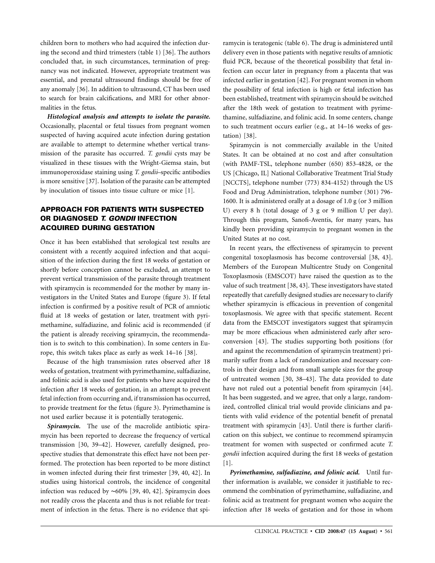children born to mothers who had acquired the infection during the second and third trimesters (table 1) [[36\]](#page-11-0). The authors concluded that, in such circumstances, termination of pregnancy was not indicated. However, appropriate treatment was essential, and prenatal ultrasound findings should be free of any anomaly [\[36](#page-11-0)]. In addition to ultrasound, CT has been used to search for brain calcifications, and MRI for other abnormalities in the fetus.

*Histological analysis and attempts to isolate the parasite.*  Occasionally, placental or fetal tissues from pregnant women suspected of having acquired acute infection during gestation are available to attempt to determine whether vertical transmission of the parasite has occurred. *T. gondii* cysts may be visualized in these tissues with the Wright-Giemsa stain, but immunoperoxidase staining using *T. gondii*–specific antibodies is more sensitive [\[37\]](#page-11-0). Isolation of the parasite can be attempted by inoculation of tissues into tissue culture or mice [1].

## **APPROACH FOR PATIENTS WITH SUSPECTED OR DIAGNOSED** *T. GONDII* **INFECTION ACQUIRED DURING GESTATION**

Once it has been established that serological test results are consistent with a recently acquired infection and that acquisition of the infection during the first 18 weeks of gestation or shortly before conception cannot be excluded, an attempt to prevent vertical transmission of the parasite through treatment with spiramycin is recommended for the mother by many investigators in the United States and Europe (figure 3). If fetal infection is confirmed by a positive result of PCR of amniotic fluid at 18 weeks of gestation or later, treatment with pyrimethamine, sulfadiazine, and folinic acid is recommended (if the patient is already receiving spiramycin, the recommendation is to switch to this combination). In some centers in Europe, this switch takes place as early as week 14–16 [\[38](#page-11-0)].

Because of the high transmission rates observed after 18 weeks of gestation, treatment with pyrimethamine, sulfadiazine, and folinic acid is also used for patients who have acquired the infection after 18 weeks of gestation, in an attempt to prevent fetal infection from occurring and, if transmission has occurred, to provide treatment for the fetus (figure 3). Pyrimethamine is not used earlier because it is potentially teratogenic.

*Spiramycin.* The use of the macrolide antibiotic spiramycin has been reported to decrease the frequency of vertical transmission [30, 39–42]. However, carefully designed, prospective studies that demonstrate this effect have not been performed. The protection has been reported to be more distinct in women infected during their first trimester [39, 40, 42]. In studies using historical controls, the incidence of congenital infection was reduced by ∼60% [39, 40, 42]. Spiramycin does not readily cross the placenta and thus is not reliable for treatment of infection in the fetus. There is no evidence that spiramycin is teratogenic (table 6). The drug is administered until delivery even in those patients with negative results of amniotic fluid PCR, because of the theoretical possibility that fetal infection can occur later in pregnancy from a placenta that was infected earlier in gestation [\[42\]](#page-11-0). For pregnant women in whom the possibility of fetal infection is high or fetal infection has been established, treatment with spiramycin should be switched after the 18th week of gestation to treatment with pyrimethamine, sulfadiazine, and folinic acid. In some centers, change to such treatment occurs earlier (e.g., at 14–16 weeks of gestation) [\[38\]](#page-11-0).

Spiramycin is not commercially available in the United States. It can be obtained at no cost and after consultation (with PAMF-TSL, telephone number (650) 853-4828, or the US [Chicago, IL] National Collaborative Treatment Trial Study [NCCTS], telephone number (773) 834-4152) through the US Food and Drug Administration, telephone number (301) 796 1600. It is administered orally at a dosage of 1.0 g (or 3 million U) every 8 h (total dosage of 3 g or 9 million U per day). Through this program, Sanofi-Aventis, for many years, has kindly been providing spiramycin to pregnant women in the United States at no cost.

In recent years, the effectiveness of spiramycin to prevent congenital toxoplasmosis has become controversial [38, 43]. Members of the European Multicentre Study on Congenital Toxoplasmosis (EMSCOT) have raised the question as to the value of such treatment [38, 43]. These investigators have stated repeatedly that carefully designed studies are necessary to clarify whether spiramycin is efficacious in prevention of congenital toxoplasmosis. We agree with that specific statement. Recent data from the EMSCOT investigators suggest that spiramycin may be more efficacious when administered early after seroconversion [\[43](#page-11-0)]. The studies supporting both positions (for and against the recommendation of spiramycin treatment) primarily suffer from a lack of randomization and necessary controls in their design and from small sample sizes for the group of untreated women [30, 38–43]. The data provided to date have not ruled out a potential benefit from spiramycin [\[44](#page-11-0)]. It has been suggested, and we agree, that only a large, randomized, controlled clinical trial would provide clinicians and patients with valid evidence of the potential benefit of prenatal treatment with spiramycin [\[43](#page-11-0)]. Until there is further clarification on this subject, we continue to recommend spiramycin treatment for women with suspected or confirmed acute *T. gondii* infection acquired during the first 18 weeks of gestation [1].

*Pyrimethamine, sulfadiazine, and folinic acid.* Until further information is available, we consider it justifiable to recommend the combination of pyrimethamine, sulfadiazine, and folinic acid as treatment for pregnant women who acquire the infection after 18 weeks of gestation and for those in whom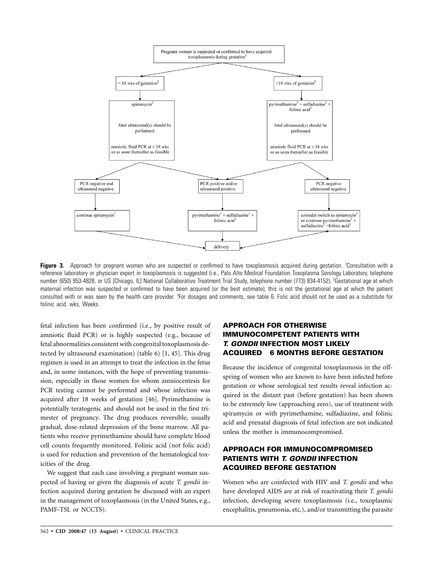

Figure 3. Approach for pregnant women who are suspected or confirmed to have toxoplasmosis acquired during gestation. <sup>1</sup>Consultation with a reference laboratory or physician expert in toxoplasmosis is suggested (i.e., Palo Alto Medical Foundation Toxoplasma Serology Laboratory, telephone number (650) 853-4828, or US [Chicago, IL] National Collaborative Treatment Trial Study, telephone number (773) 834-4152). <sup>2</sup>Gestational age at which maternal infection was suspected or confirmed to have been acquired (or the best estimate); this is not the gestational age at which the patient consulted with or was seen by the health care provider. <sup>3</sup>For dosages and comments, see table 6. Folic acid should not be used as a substitute for folinic acid. wks, Weeks.

fetal infection has been confirmed (i.e., by positive result of amniotic fluid PCR) or is highly suspected (e.g., because of fetal abnormalities consistent with congenital toxoplasmosis detected by ultrasound examination) (table 6) [1, 45]. This drug regimen is used in an attempt to treat the infection in the fetus and, in some instances, with the hope of preventing transmission, especially in those women for whom amniocentesis for PCR testing cannot be performed and whose infection was acquired after 18 weeks of gestation [[46\]](#page-11-0). Pyrimethamine is potentially teratogenic and should not be used in the first trimester of pregnancy. The drug produces reversible, usually gradual, dose-related depression of the bone marrow. All patients who receive pyrimethamine should have complete blood cell counts frequently monitored. Folinic acid (not folic acid) is used for reduction and prevention of the hematological toxicities of the drug.

We suggest that each case involving a pregnant woman suspected of having or given the diagnosis of acute *T. gondii* infection acquired during gestation be discussed with an expert in the management of toxoplasmosis (in the United States, e.g., PAMF-TSL or NCCTS).

# � **ACQUIRED 6 MONTHS BEFORE GESTATION APPROACH FOR OTHERWISE IMMUNOCOMPETENT PATIENTS WITH**  *T. GONDII* **INFECTION MOST LIKELY**

Because the incidence of congenital toxoplasmosis in the offspring of women who are known to have been infected before gestation or whose serological test results reveal infection acquired in the distant past (before gestation) has been shown to be extremely low (approaching zero), use of treatment with spiramycin or with pyrimethamine, sulfadiazine, and folinic acid and prenatal diagnosis of fetal infection are not indicated unless the mother is immunocompromised.

# **APPROACH FOR IMMUNOCOMPROMISED PATIENTS WITH** *T. GONDII* **INFECTION ACQUIRED BEFORE GESTATION**

Women who are coinfected with HIV and *T. gondii* and who have developed AIDS are at risk of reactivating their *T. gondii*  infection, developing severe toxoplasmosis (i.e., toxoplasmic encephalitis, pneumonia, etc.), and/or transmitting the parasite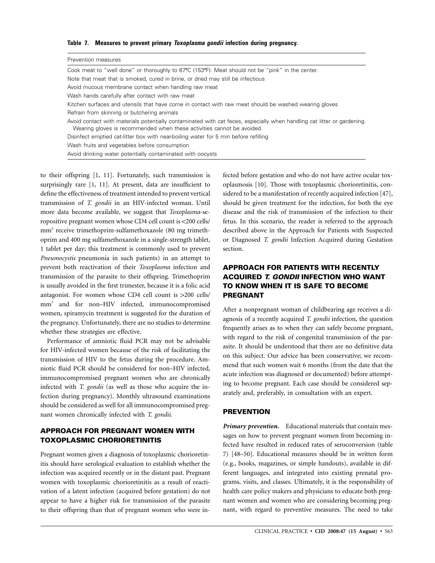#### **Table 7. Measures to prevent primary** *Toxoplasma gondii* **infection during pregnancy.**

| Prevention measures                                                                                                                                                                               |
|---------------------------------------------------------------------------------------------------------------------------------------------------------------------------------------------------|
| Cook meat to "well done" or thoroughly to 67°C (153°F). Meat should not be "pink" in the center.                                                                                                  |
| Note that meat that is smoked, cured in brine, or dried may still be infectious                                                                                                                   |
| Avoid mucous membrane contact when handling raw meat                                                                                                                                              |
| Wash hands carefully after contact with raw meat                                                                                                                                                  |
| Kitchen surfaces and utensils that have come in contact with raw meat should be washed wearing gloves                                                                                             |
| Refrain from skinning or butchering animals                                                                                                                                                       |
| Avoid contact with materials potentially contaminated with cat feces, especially when handling cat litter or gardening.<br>Wearing gloves is recommended when these activities cannot be avoided. |
| Disinfect emptied cat-litter box with near-boiling water for 5 min before refilling                                                                                                               |
| Wash fruits and vegetables before consumption                                                                                                                                                     |
| Avoid drinking water potentially contaminated with oocysts                                                                                                                                        |

to their offspring [1, 11]. Fortunately, such transmission is surprisingly rare [1, 11]. At present, data are insufficient to define the effectiveness of treatment intended to prevent vertical transmission of *T. gondii* in an HIV-infected woman. Until more data become available, we suggest that *Toxoplasma*-seropositive pregnant women whose CD4 cell count is <200 cells/ mm<sup>3</sup> receive trimethoprim-sulfamethoxazole (80 mg trimethoprim and 400 mg sulfamethoxazole in a single-strength tablet, 1 tablet per day; this treatment is commonly used to prevent *Pneumocystis* pneumonia in such patients) in an attempt to prevent both reactivation of their *Toxoplasma* infection and transmission of the parasite to their offspring. Trimethoprim is usually avoided in the first trimester, because it is a folic acid antagonist. For women whose CD4 cell count is  $>200$  cells/ mm3 and for non–HIV infected, immunocompromised women, spiramycin treatment is suggested for the duration of the pregnancy. Unfortunately, there are no studies to determine whether these strategies are effective.

Performance of amniotic fluid PCR may not be advisable for HIV-infected women because of the risk of facilitating the transmission of HIV to the fetus during the procedure. Amniotic fluid PCR should be considered for non–HIV infected, immunocompromised pregnant women who are chronically infected with *T. gondii* (as well as those who acquire the infection during pregnancy). Monthly ultrasound examinations should be considered as well for all immunocompromised pregnant women chronically infected with *T. gondii.* 

## **APPROACH FOR PREGNANT WOMEN WITH TOXOPLASMIC CHORIORETINITIS**

Pregnant women given a diagnosis of toxoplasmic chorioretinitis should have serological evaluation to establish whether the infection was acquired recently or in the distant past. Pregnant women with toxoplasmic chorioretinitis as a result of reactivation of a latent infection (acquired before gestation) do not appear to have a higher risk for transmission of the parasite to their offspring than that of pregnant women who were infected before gestation and who do not have active ocular toxoplasmosis [\[10](#page-11-0)]. Those with toxoplasmic chorioretinitis, considered to be a manifestation of recently acquired infection [\[47](#page-11-0)], should be given treatment for the infection, for both the eye disease and the risk of transmission of the infection to their fetus. In this scenario, the reader is referred to the approach described above in the Approach for Patients with Suspected or Diagnosed *T. gondii* Infection Acquired during Gestation section.

# **APPROACH FOR PATIENTS WITH RECENTLY ACQUIRED** *T. GONDII* **INFECTION WHO WANT TO KNOW WHEN IT IS SAFE TO BECOME PREGNANT**

After a nonpregnant woman of childbearing age receives a diagnosis of a recently acquired *T. gondii* infection, the question frequently arises as to when they can safely become pregnant, with regard to the risk of congenital transmission of the parasite. It should be understood that there are no definitive data on this subject. Our advice has been conservative; we recommend that such women wait 6 months (from the date that the acute infection was diagnosed or documented) before attempting to become pregnant. Each case should be considered separately and, preferably, in consultation with an expert.

#### **PREVENTION**

*Primary prevention.* Educational materials that contain messages on how to prevent pregnant women from becoming infected have resulted in reduced rates of seroconversion (table 7) [48–50]. Educational measures should be in written form (e.g., books, magazines, or simple handouts), available in different languages, and integrated into existing prenatal programs, visits, and classes. Ultimately, it is the responsibility of health care policy makers and physicians to educate both pregnant women and women who are considering becoming pregnant, with regard to preventive measures. The need to take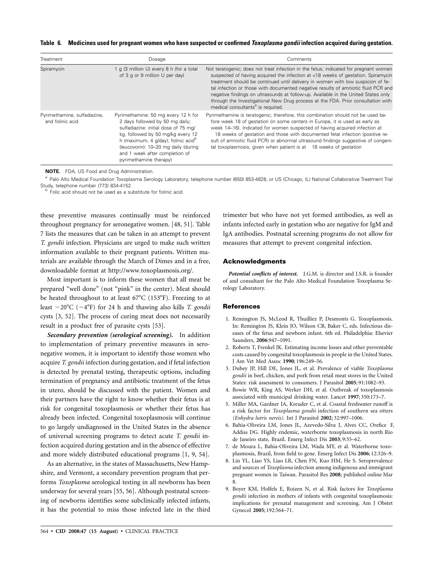|  | Table 6. Medicines used for pregnant women who have suspected or confirmed Toxoplasma gondii infection acquired during gestation. |  |
|--|-----------------------------------------------------------------------------------------------------------------------------------|--|
|  |                                                                                                                                   |  |

| Treatment                                        | Dosage                                                                                                                                                                                                                                                                                                     | Comments                                                                                                                                                                                                                                                                                                                                                                                                                                                                                                                                                                    |
|--------------------------------------------------|------------------------------------------------------------------------------------------------------------------------------------------------------------------------------------------------------------------------------------------------------------------------------------------------------------|-----------------------------------------------------------------------------------------------------------------------------------------------------------------------------------------------------------------------------------------------------------------------------------------------------------------------------------------------------------------------------------------------------------------------------------------------------------------------------------------------------------------------------------------------------------------------------|
| Spiramycin                                       | 1 g (3 million U) every 8 h (for a total<br>of 3 g or 9 million U per day)                                                                                                                                                                                                                                 | Not teratogenic; does not treat infection in the fetus; indicated for pregnant women<br>suspected of having acquired the infection at <18 weeks of gestation. Spiramycin<br>treatment should be continued until delivery in women with low suspicion of fe-<br>tal infection or those with documented negative results of amniotic fluid PCR and<br>negative findings on ultrasounds at follow-up. Available in the United States only<br>through the Investigational New Drug process at the FDA. Prior consultation with<br>medical consultants <sup>a</sup> is required. |
| Pyrimethamine, sulfadiazine,<br>and folinic acid | Pyrimethamine: 50 mg every 12 h for<br>2 days followed by 50 mg daily;<br>sulfadiazine: initial dose of 75 mg/<br>kg, followed by 50 mg/kg every 12<br>h (maximum, 4 q/day); folinic acid <sup>b</sup><br>(leucovorin): 10-20 mg daily (during<br>and 1 week after completion of<br>pyrimethamine therapy) | Pyrimethamine is teratogenic; therefore, this combination should not be used be-<br>fore week 18 of gestation (in some centers in Europe, it is used as early as<br>week 14–16). Indicated for women suspected of having acquired infection at<br>18 weeks of gestation and those with documented fetal infection (positive re-<br>sult of amniotic fluid PCR) or abnormal ultrasound findings suggestive of congeni-<br>tal toxoplasmosis, given when patient is at 18 weeks of gestation                                                                                  |

**NOTE.** FDA, US Food and Drug Administration.

a Palo Alto Medical Foundation Toxoplasma Serology Laboratory, telephone number (650) 853-4828, or US (Chicago, IL) National Collaborative Treatment Trial Study, telephone number (773) 834-4152.<br>b Folic acid should not be used as a substitute for folinic acid.

these preventive measures continually must be reinforced throughout pregnancy for seronegative women. [48, 51]. Table 7 lists the measures that can be taken in an attempt to prevent *T. gondii* infection. Physicians are urged to make such written information available to their pregnant patients. Written materials are available through the March of Dimes and in a free, downloadable format at http://www.toxoplasmosis.org/.

Most important is to inform these women that all meat be prepared "well done" (not "pink" in the center). Meat should be heated throughout to at least  $67^{\circ}$ C (153 $^{\circ}$ F). Freezing to at least  $-20^{\circ}$ C ( $-4^{\circ}$ F) for 24 h and thawing also kills *T. gondii* cysts [3, 52]. The process of curing meat does not necessarily result in a product free of parasite cysts [[53](#page-12-0)].

*Secondary prevention (serological screening).* In addition to implementation of primary preventive measures in seronegative women, it is important to identify those women who acquire *T. gondii* infection during gestation, and if fetal infection is detected by prenatal testing, therapeutic options, including termination of pregnancy and antibiotic treatment of the fetus in utero, should be discussed with the patient. Women and their partners have the right to know whether their fetus is at risk for congenital toxoplasmosis or whether their fetus has already been infected. Congenital toxoplasmosis will continue to go largely undiagnosed in the United States in the absence of universal screening programs to detect acute *T. gondii* infection acquired during gestation and in the absence of effective and more widely distributed educational programs [1, 9, 54].

As an alternative, in the states of Massachusetts, New Hampshire, and Vermont, a secondary prevention program that performs *Toxoplasma* serological testing in all newborns has been underway for several years [55, 56]. Although postnatal screening of newborns identifies some subclinically infected infants, it has the potential to miss those infected late in the third

trimester but who have not yet formed antibodies, as well as infants infected early in gestation who are negative for IgM and IgA antibodies. Postnatal screening programs do not allow for measures that attempt to prevent congenital infection.

#### **Acknowledgments**

*Potential conflicts of interest.* J.G.M. is director and J.S.R. is founder of and consultant for the Palo Alto Medical Foundation Toxoplasma Serology Laboratory.

#### **References**

- 1. Remington JS, McLeod R, Thuilliez P, Desmonts G. Toxoplasmosis. In: Remington JS, Klein JO, Wilson CB, Baker C, eds. Infectious diseases of the fetus and newborn infant. 6th ed. Philadelphia: Elsevier Saunders, **2006**:947–1091.
- 2. Roberts T, Frenkel JK. Estimating income losses and other preventable costs caused by congenital toxoplasmosis in people in the United States. J Am Vet Med Assoc **1990**; 196:249–56.
- 3. Dubey JP, Hill DE, Jones JL, et al. Prevalence of viable *Toxoplasma gondii* in beef, chicken, and pork from retail meat stores in the United States: risk assessment to consumers. J Parasitol **2005**; 91:1082–93.
- 4. Bowie WR, King AS, Werker DH, et al. Outbreak of toxoplasmosis associated with municipal drinking water. Lancet **1997**; 350:173–7.
- 5. Miller MA, Gardner IA, Kreuder C, et al. Coastal freshwater runoff is a risk factor for *Toxoplasma gondii* infection of southern sea otters *(Enhydra lutris nereis).* Int J Parasitol **2002**; 32:997–1006.
- 6. Bahia-Oliveira LM, Jones JL, Azevedo-Silva J, Alves CC, Orefice F, Addiss DG. Highly endemic, waterborne toxoplasmosis in north Rio de Janeiro state, Brazil. Emerg Infect Dis **2003**; 9:55–62.
- 7. de Moura L, Bahia-Oliveira LM, Wada MY, et al. Waterborne toxoplasmosis, Brazil, from field to gene. Emerg Infect Dis **2006**; 12:326–9.
- 8. Lin YL, Liao YS, Liao LR, Chen FN, Kuo HM, He S. Seroprevalence and sources of *Toxoplasma* infection among indigenous and immigrant pregnant women in Taiwan. Parasitol Res **2008**; published online Mar 8.
- 9. Boyer KM, Holfels E, Roizen N, et al. Risk factors for *Toxoplasma gondii* infection in mothers of infants with congenital toxoplasmosis: implications for prenatal management and screening. Am J Obstet Gynecol **2005**; 192:564–71.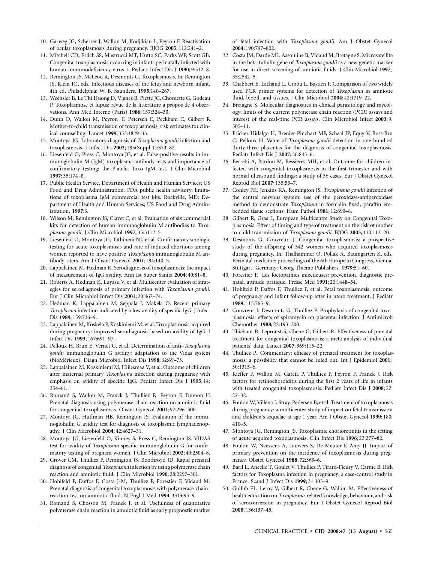- <span id="page-11-0"></span>10. Garweg JG, Scherrer J, Wallon M, Kodjikian L, Peyron F. Reactivation of ocular toxoplasmosis during pregnancy. BJOG **2005**; 112:241–2.
- 11. Mitchell CD, Erlich SS, Mastrucci MT, Hutto SC, Parks WP, Scott GB. Congenital toxoplasmosis occurring in infants perinatally infected with human immunodeficiency virus 1. Pediatr Infect Dis J **1990**; 9:512–8.
- 12. Remington JS, McLeod R, Desmonts G. Toxoplasmosis. In: Remington JS, Klein JO, eds. Infectious diseases of the fetus and newborn infant. 4th ed. Philadelphia: W. B. Saunders, **1995**:140–267.
- 13. Wechsler B, Le Thi Huong D, Vignes B, Piette JC, Chomette G, Godeau P. Toxoplasmose et lupus: revue de la litterature a propos de 4 observations. Ann Med Interne (Paris) **1986**; 137:324–30.
- 14. Dunn D, Wallon M, Peyron F, Petersen E, Peckham C, Gilbert R. Mother-to-child transmission of toxoplasmosis: risk estimates for clinical counselling. Lancet **1999**; 353:1829–33.
- 15. Montoya JG. Laboratory diagnosis of *Toxoplasma gondii* infection and toxoplasmosis. J Infect Dis **2002**; 185(Suppl 1):S73–82.
- 16. Liesenfeld O, Press C, Montoya JG, et al. False-positive results in immunoglobulin M (IgM) toxoplasma antibody tests and importance of confirmatory testing: the Platelia Toxo IgM test. J Clin Microbiol **1997**; 35:174–8.
- 17. Public Health Service, Department of Health and Human Services; US Food and Drug Administration. FDA public health advisory: limitations of toxoplasma IgM commercial test kits. Rockville, MD: Department of Health and Human Services; US Food and Drug Administration, **1997**:3.
- 18. Wilson M, Remington JS, Clavet C, et al. Evaluation of six commercial kits for detection of human immunoglobulin M antibodies to *Toxoplasma gondii.* J Clin Microbiol **1997**; 35:3112–5.
- 19. Liesenfeld O, Montoya JG, Tathineni NJ, et al. Confirmatory serologic testing for acute toxoplasmosis and rate of induced abortions among women reported to have positive *Toxoplasma* immunoglobulin M antibody titers. Am J Obstet Gynecol **2001**; 184:140–5.
- 20. Lappalainen M, Hedman K. Serodiagnosis of toxoplasmosis: the impact of measurement of IgG avidity. Ann Ist Super Sanita **2004**; 40:81–8.
- 21. Roberts A, Hedman K, Luyasu V, et al. Multicenter evaluation of strategies for serodiagnosis of primary infection with *Toxoplasma gondii.*  Eur J Clin Microbiol Infect Dis **2001**; 20:467–74.
- 22. Hedman K, Lappalainen M, Seppala I, Makela O. Recent primary *Toxoplasma* infection indicated by a low avidity of specific IgG. J Infect Dis **1989**; 159:736–9.
- 23. Lappalainen M, Koskela P, Koskiniemi M, et al. Toxoplasmosis acquired during pregnancy: improved serodiagnosis based on avidity of IgG. J Infect Dis **1993**; 167:691–97.
- 24. Pelloux H, Brun E, Vernet G, et al. Determination of anti–*Toxoplasma gondii* immunoglobulin G avidity: adaptation to the Vidas system (bioMérieux). Diagn Microbiol Infect Dis 1998; 32:69-73.
- 25. Lappalainen M, Koskiniemi M, Hiilesmaa V, et al. Outcome of children after maternal primary *Toxoplasma* infection during pregnancy with emphasis on avidity of specific IgG. Pediatr Infect Dis J **1995**; 14: 354–61.
- 26. Romand S, Wallon M, Franck J, Thulliez P, Peyron F, Dumon H. Prenatal diagnosis using polymerase chain reaction on amniotic fluid for congenital toxoplasmosis. Obstet Gynecol **2001**; 97:296–300.
- 27. Montoya JG, Huffman HB, Remington JS. Evaluation of the immunoglobulin G avidity test for diagnosis of toxoplasmic lymphadenopathy. J Clin Microbiol **2004**; 42:4627–31.
- 28. Montoya JG, Liesenfeld O, Kinney S, Press C, Remington JS. VIDAS test for avidity of *Toxoplasma*-specific immunoglobulin G for confirmatory testing of pregnant women. J Clin Microbiol **2002**; 40:2504–8.
- 29. Grover CM, Thulliez P, Remington JS, Boothroyd JD. Rapid prenatal diagnosis of congenital *Toxoplasma* infection by using polymerase chain reaction and amniotic fluid. J Clin Microbiol **1990**; 28:2297–301.
- 30. Hohlfeld P, Daffos F, Costa J-M, Thulliez P, Forestier F, Vidaud M. Prenatal diagnosis of congenital toxoplasmosis with polymerase-chainreaction test on amniotic fluid. N Engl J Med **1994**; 331:695–9.
- 31. Romand S, Chosson M, Franck J, et al. Usefulness of quantitative polymerase chain reaction in amniotic fluid as early prognostic marker

of fetal infection with *Toxoplasma gondii.* Am J Obstet Gynecol **2004**; 190:797–802.

- 32. Costa JM, Dardé ML, Assouline B, Vidaud M, Bretagne S. Microsatellite in the beta-tubulin gene of *Toxoplasma gondii* as a new genetic marker for use in direct screening of amniotic fluids. J Clin Microbiol **1997**; 35:2542–5.
- 33. Chabbert E, Lachaud L, Crobu L, Bastien P. Comparison of two widely used PCR primer systems for detection of *Toxoplasma* in amniotic fluid, blood, and tissues. J Clin Microbiol **2004**; 42:1719–22.
- 34. Bretagne S. Molecular diagnostics in clinical parasitology and mycology: limits of the current polymerase chain reaction (PCR) assays and interest of the real-time PCR assays. Clin Microbiol Infect **2003**; 9: 505–11.
- 35. Fricker-Hidalgo H, Brenier-Pinchart MP, Schaal JP, Equy V, Bost-Bru C, Pelloux H. Value of *Toxoplasma gondii* detection in one hundred thirty-three placentas for the diagnosis of congenital toxoplasmosis. Pediatr Infect Dis J **2007**; 26:845–6.
- 36. Berrebi A, Bardou M, Bessieres MH, et al. Outcome for children infected with congenital toxoplasmosis in the first trimester and with normal ultrasound findings: a study of 36 cases. Eur J Obstet Gynecol Reprod Biol **2007**; 135:53–7.
- 37. Conley FK, Jenkins KA, Remington JS. *Toxoplasma gondii* infection of the central nervous system: use of the peroxidase-antiperoxidase method to demonstrate *Toxoplasma* in formalin fixed, paraffin embedded tissue sections. Hum Pathol **1981**; 12:690–8.
- 38. Gilbert R, Gras L, European Multicentre Study on Congenital Toxoplasmosis. Effect of timing and type of treatment on the risk of mother to child transmission of *Toxoplasma gondii*. BJOG **2003**; 110:112–20.
- 39. Desmonts G, Couvreur J. Congenital toxoplasmosis: a prospective study of the offspring of 542 women who acquired toxoplasmosis during pregnancy. In: Thalhammer O, Pollak A, Baumgarten K, eds. Perinatal medicine: proceedings of the 6th European Congress, Vienna. Stuttgart, Germany: Georg Thieme Publishers, **1979**:51–60.
- 40. Forestier F. Les foetopathies infectieuses: prevention, diagnostic prenatal, attitude pratique. Presse Med **1991**; 20:1448–54.
- 41. Hohlfeld P, Daffos F, Thulliez P, et al. Fetal toxoplasmosis: outcome of pregnancy and infant follow-up after in utero treatment. J Pediatr **1989**; 115:765–9.
- 42. Couvreur J, Desmonts G, Thulliez P. Prophylaxis of congenital toxoplasmosis: effects of spiramycin on placental infection. J Antimicrob Chemother **1988**; 22:193–200.
- 43. Thiebaut R, Leproust S, Chene G, Gilbert R. Effectiveness of prenatal treatment for congenital toxoplasmosis: a meta-analysis of individual patients' data. Lancet **2007**; 369:115–22.
- 44. Thulliez P. Commentary: efficacy of prenatal treatment for toxoplasmosis: a possibility that cannot be ruled out. Int J Epidemiol **2001**; 30:1315–6.
- 45. Kieffer F, Wallon M, Garcia P, Thulliez P, Peyron F, Franck J. Risk factors for retinochoroiditis during the first 2 years of life in infants with treated congenital toxoplasmosis. Pediatr Infect Dis J **2008**; 27: 27–32.
- 46. Foulon W, Villena I, Stray-Pedersen B, et al. Treatment of toxoplasmosis during pregnancy: a multicenter study of impact on fetal transmission and children's sequelae at age 1 year. Am J Obstet Gynecol **1999**; 180: 410–5.
- 47. Montoya JG, Remington JS. Toxoplasmic chorioretinitis in the setting of acute acquired toxoplasmosis. Clin Infect Dis **1996**; 23:277–82.
- 48. Foulon W, Naessens A, Lauwers S, De Meuter F, Amy JJ. Impact of primary prevention on the incidence of toxoplasmosis during pregnancy. Obstet Gynecol **1988**; 72:363–6.
- 49. Baril L, Ancelle T, Goulet V, Thulliez P, Tirard-Fleury V, Carme B. Risk factors for Toxoplasma infection in pregnancy: a case-control study in France. Scand J Infect Dis **1999**; 31:305–9.
- 50. Gollub EL, Leroy V, Gilbert R, Chene G, Wallon M. Effectiveness of health education on *Toxoplasma*-related knowledge, behaviour, and risk of seroconversion in pregnancy. Eur J Obstet Gynecol Reprod Biol **2008**; 136:137–45.